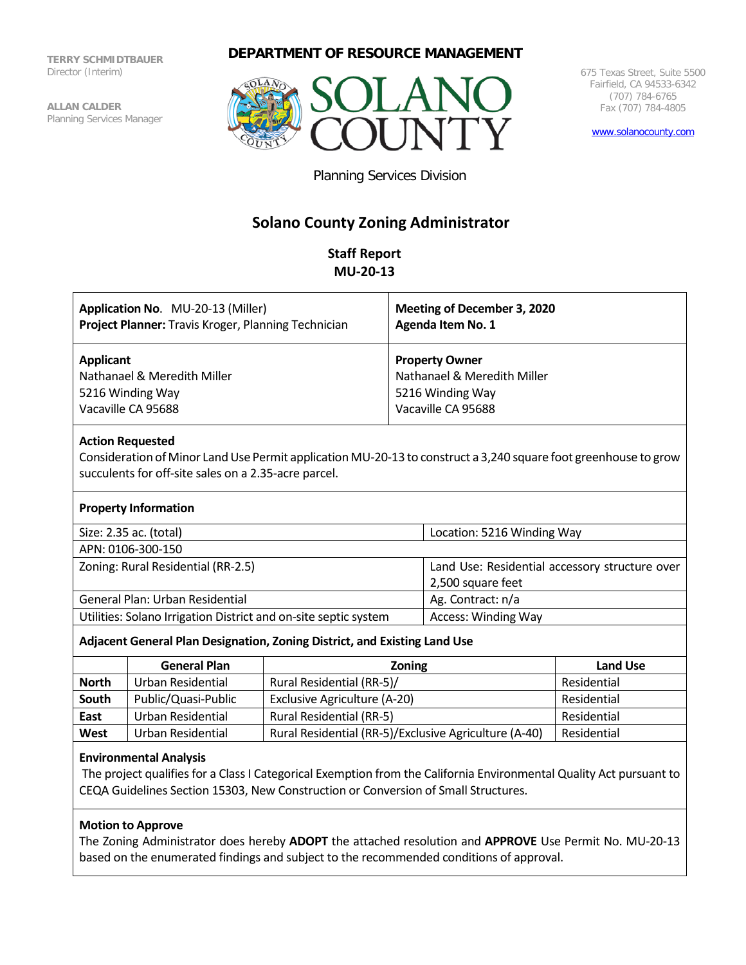**TERRY SCHMIDTBAUER** Director (Interim)

**ALLAN CALDER** Planning Services Manager

# **DEPARTMENT OF RESOURCE MANAGEMENT**



675 Texas Street, Suite 5500 Fairfield, CA 94533-6342 (707) 784-6765 Fax (707) 784-4805

[www.solanocounty.com](http://www.solanocounty.com/)

Planning Services Division

# **Solano County Zoning Administrator**

# **Staff Report MU-20-13**

| Application No. MU-20-13 (Miller)                   | Meeting of December 3, 2020 |
|-----------------------------------------------------|-----------------------------|
| Project Planner: Travis Kroger, Planning Technician | Agenda Item No. 1           |
| Applicant                                           | <b>Property Owner</b>       |
| Nathanael & Meredith Miller                         | Nathanael & Meredith Miller |
| 5216 Winding Way                                    | 5216 Winding Way            |
| Vacaville CA 95688                                  | Vacaville CA 95688          |

## **Action Requested**

Consideration of Minor Land Use Permit application MU-20-13 to construct a 3,240 square foot greenhouse to grow succulents for off-site sales on a 2.35-acre parcel.

#### **Property Information**

| Size: 2.35 ac. (total)                                          | Location: 5216 Winding Way                     |  |
|-----------------------------------------------------------------|------------------------------------------------|--|
| APN: 0106-300-150                                               |                                                |  |
| Zoning: Rural Residential (RR-2.5)                              | Land Use: Residential accessory structure over |  |
|                                                                 | 2,500 square feet                              |  |
| General Plan: Urban Residential                                 | Ag. Contract: n/a                              |  |
| Utilities: Solano Irrigation District and on-site septic system | <b>Access: Winding Way</b>                     |  |

## **Adjacent General Plan Designation, Zoning District, and Existing Land Use**

|              | <b>General Plan</b> | <b>Zoning</b>                                         | <b>Land Use</b> |
|--------------|---------------------|-------------------------------------------------------|-----------------|
| <b>North</b> | Urban Residential   | Rural Residential (RR-5)/                             | Residential     |
| South        | Public/Quasi-Public | Exclusive Agriculture (A-20)                          | Residential     |
| East         | Urban Residential   | <b>Rural Residential (RR-5)</b>                       | Residential     |
| West         | Urban Residential   | Rural Residential (RR-5)/Exclusive Agriculture (A-40) | Residential     |

# **Environmental Analysis**

The project qualifies for a Class I Categorical Exemption from the California Environmental Quality Act pursuant to CEQA Guidelines Section 15303, New Construction or Conversion of Small Structures.

## **Motion to Approve**

The Zoning Administrator does hereby **ADOPT** the attached resolution and **APPROVE** Use Permit No. MU-20-13 based on the enumerated findings and subject to the recommended conditions of approval.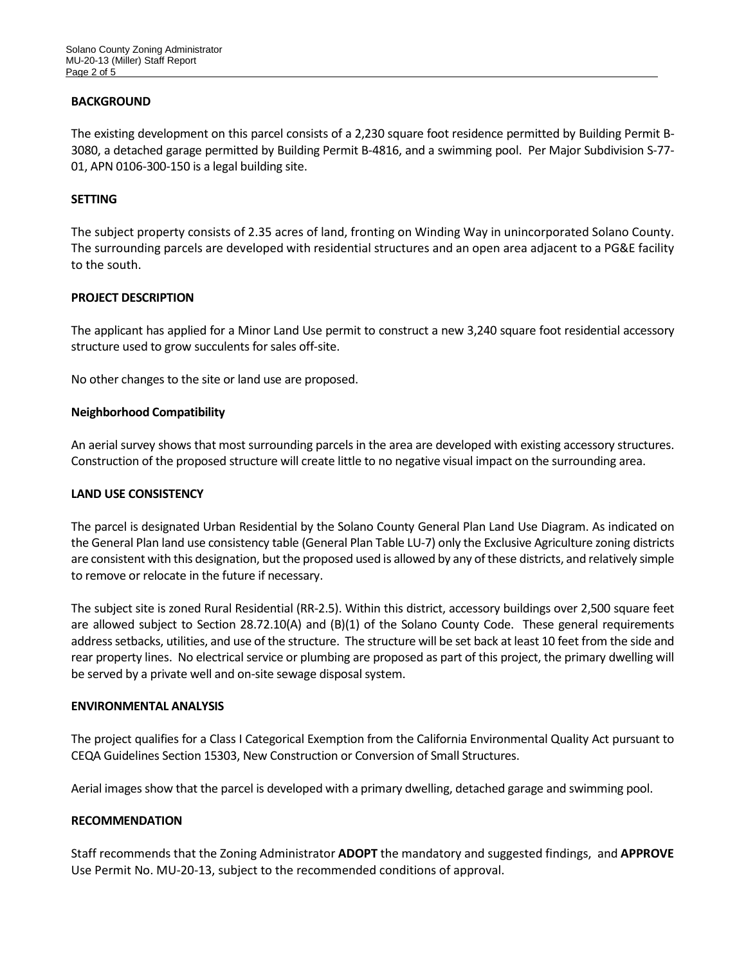## **BACKGROUND**

The existing development on this parcel consists of a 2,230 square foot residence permitted by Building Permit B-3080, a detached garage permitted by Building Permit B-4816, and a swimming pool. Per Major Subdivision S-77- 01, APN 0106-300-150 is a legal building site.

#### **SETTING**

The subject property consists of 2.35 acres of land, fronting on Winding Way in unincorporated Solano County. The surrounding parcels are developed with residential structures and an open area adjacent to a PG&E facility to the south.

## **PROJECT DESCRIPTION**

The applicant has applied for a Minor Land Use permit to construct a new 3,240 square foot residential accessory structure used to grow succulents for sales off-site.

No other changes to the site or land use are proposed.

#### **Neighborhood Compatibility**

An aerial survey shows that most surrounding parcels in the area are developed with existing accessory structures. Construction of the proposed structure will create little to no negative visual impact on the surrounding area.

#### **LAND USE CONSISTENCY**

The parcel is designated Urban Residential by the Solano County General Plan Land Use Diagram. As indicated on the General Plan land use consistency table (General Plan Table LU-7) only the Exclusive Agriculture zoning districts are consistent with this designation, but the proposed used is allowed by any of these districts, and relatively simple to remove or relocate in the future if necessary.

The subject site is zoned Rural Residential (RR-2.5). Within this district, accessory buildings over 2,500 square feet are allowed subject to Section 28.72.10(A) and (B)(1) of the Solano County Code. These general requirements address setbacks, utilities, and use of the structure. The structure will be set back at least 10 feet from the side and rear property lines. No electrical service or plumbing are proposed as part of this project, the primary dwelling will be served by a private well and on-site sewage disposal system.

#### **ENVIRONMENTAL ANALYSIS**

The project qualifies for a Class I Categorical Exemption from the California Environmental Quality Act pursuant to CEQA Guidelines Section 15303, New Construction or Conversion of Small Structures.

Aerial images show that the parcel is developed with a primary dwelling, detached garage and swimming pool.

## **RECOMMENDATION**

Staff recommends that the Zoning Administrator **ADOPT** the mandatory and suggested findings, and **APPROVE** Use Permit No. MU-20-13, subject to the recommended conditions of approval.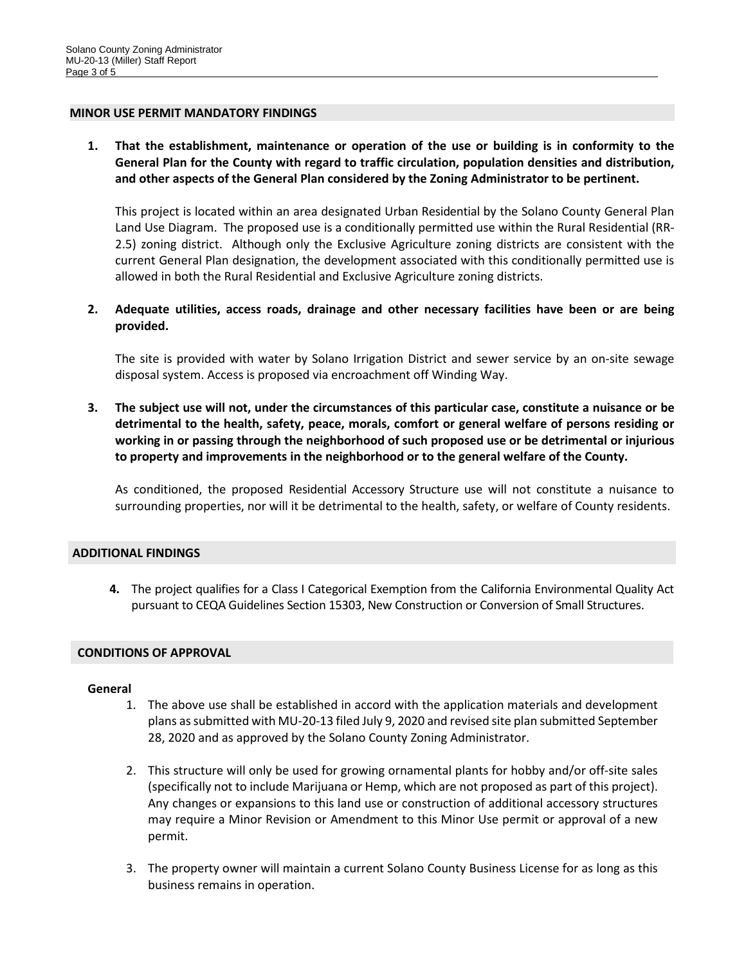#### **MINOR USE PERMIT MANDATORY FINDINGS**

**1. That the establishment, maintenance or operation of the use or building is in conformity to the General Plan for the County with regard to traffic circulation, population densities and distribution, and other aspects of the General Plan considered by the Zoning Administrator to be pertinent.**

This project is located within an area designated Urban Residential by the Solano County General Plan Land Use Diagram. The proposed use is a conditionally permitted use within the Rural Residential (RR-2.5) zoning district. Although only the Exclusive Agriculture zoning districts are consistent with the current General Plan designation, the development associated with this conditionally permitted use is allowed in both the Rural Residential and Exclusive Agriculture zoning districts.

**2. Adequate utilities, access roads, drainage and other necessary facilities have been or are being provided.**

The site is provided with water by Solano Irrigation District and sewer service by an on-site sewage disposal system. Access is proposed via encroachment off Winding Way.

**3. The subject use will not, under the circumstances of this particular case, constitute a nuisance or be detrimental to the health, safety, peace, morals, comfort or general welfare of persons residing or working in or passing through the neighborhood of such proposed use or be detrimental or injurious to property and improvements in the neighborhood or to the general welfare of the County.**

As conditioned, the proposed Residential Accessory Structure use will not constitute a nuisance to surrounding properties, nor will it be detrimental to the health, safety, or welfare of County residents.

#### **ADDITIONAL FINDINGS**

**4.** The project qualifies for a Class I Categorical Exemption from the California Environmental Quality Act pursuant to CEQA Guidelines Section 15303, New Construction or Conversion of Small Structures.

#### **CONDITIONS OF APPROVAL**

#### **General**

- 1. The above use shall be established in accord with the application materials and development plans as submitted with MU-20-13 filed July 9, 2020 and revised site plan submitted September 28, 2020 and as approved by the Solano County Zoning Administrator.
- 2. This structure will only be used for growing ornamental plants for hobby and/or off-site sales (specifically not to include Marijuana or Hemp, which are not proposed as part of this project). Any changes or expansions to this land use or construction of additional accessory structures may require a Minor Revision or Amendment to this Minor Use permit or approval of a new permit.
- 3. The property owner will maintain a current Solano County Business License for as long as this business remains in operation.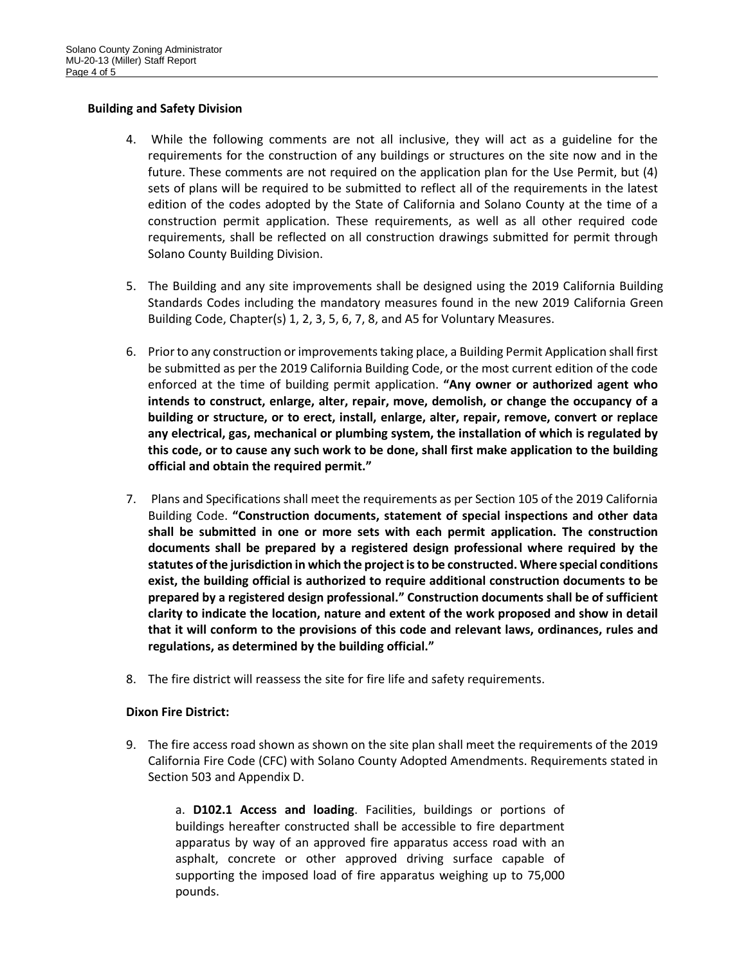## **Building and Safety Division**

- 4. While the following comments are not all inclusive, they will act as a guideline for the requirements for the construction of any buildings or structures on the site now and in the future. These comments are not required on the application plan for the Use Permit, but (4) sets of plans will be required to be submitted to reflect all of the requirements in the latest edition of the codes adopted by the State of California and Solano County at the time of a construction permit application. These requirements, as well as all other required code requirements, shall be reflected on all construction drawings submitted for permit through Solano County Building Division.
- 5. The Building and any site improvements shall be designed using the 2019 California Building Standards Codes including the mandatory measures found in the new 2019 California Green Building Code, Chapter(s) 1, 2, 3, 5, 6, 7, 8, and A5 for Voluntary Measures.
- 6. Prior to any construction or improvements taking place, a Building Permit Application shall first be submitted as per the 2019 California Building Code, or the most current edition of the code enforced at the time of building permit application. **"Any owner or authorized agent who intends to construct, enlarge, alter, repair, move, demolish, or change the occupancy of a building or structure, or to erect, install, enlarge, alter, repair, remove, convert or replace any electrical, gas, mechanical or plumbing system, the installation of which is regulated by this code, or to cause any such work to be done, shall first make application to the building official and obtain the required permit."**
- 7. Plans and Specifications shall meet the requirements as per Section 105 of the 2019 California Building Code. **"Construction documents, statement of special inspections and other data shall be submitted in one or more sets with each permit application. The construction documents shall be prepared by a registered design professional where required by the statutes of the jurisdiction in which the project is to be constructed. Where special conditions exist, the building official is authorized to require additional construction documents to be prepared by a registered design professional." Construction documents shall be of sufficient clarity to indicate the location, nature and extent of the work proposed and show in detail that it will conform to the provisions of this code and relevant laws, ordinances, rules and regulations, as determined by the building official."**
- 8. The fire district will reassess the site for fire life and safety requirements.

## **Dixon Fire District:**

9. The fire access road shown as shown on the site plan shall meet the requirements of the 2019 California Fire Code (CFC) with Solano County Adopted Amendments. Requirements stated in Section 503 and Appendix D.

a. **D102.1 Access and loading**. Facilities, buildings or portions of buildings hereafter constructed shall be accessible to fire department apparatus by way of an approved fire apparatus access road with an asphalt, concrete or other approved driving surface capable of supporting the imposed load of fire apparatus weighing up to 75,000 pounds.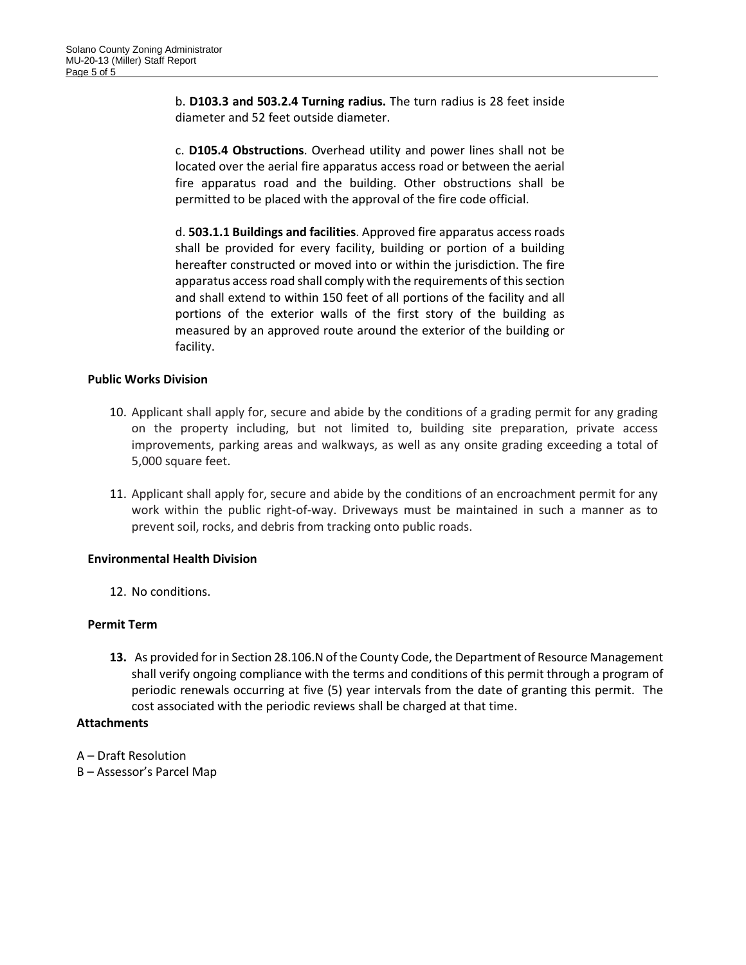b. **D103.3 and 503.2.4 Turning radius.** The turn radius is 28 feet inside diameter and 52 feet outside diameter.

c. **D105.4 Obstructions**. Overhead utility and power lines shall not be located over the aerial fire apparatus access road or between the aerial fire apparatus road and the building. Other obstructions shall be permitted to be placed with the approval of the fire code official.

d. **503.1.1 Buildings and facilities**. Approved fire apparatus access roads shall be provided for every facility, building or portion of a building hereafter constructed or moved into or within the jurisdiction. The fire apparatus access road shall comply with the requirements of this section and shall extend to within 150 feet of all portions of the facility and all portions of the exterior walls of the first story of the building as measured by an approved route around the exterior of the building or facility.

## **Public Works Division**

- 10. Applicant shall apply for, secure and abide by the conditions of a grading permit for any grading on the property including, but not limited to, building site preparation, private access improvements, parking areas and walkways, as well as any onsite grading exceeding a total of 5,000 square feet.
- 11. Applicant shall apply for, secure and abide by the conditions of an encroachment permit for any work within the public right-of-way. Driveways must be maintained in such a manner as to prevent soil, rocks, and debris from tracking onto public roads.

## **Environmental Health Division**

12. No conditions.

#### **Permit Term**

**13.** As provided for in Section 28.106.N of the County Code, the Department of Resource Management shall verify ongoing compliance with the terms and conditions of this permit through a program of periodic renewals occurring at five (5) year intervals from the date of granting this permit. The cost associated with the periodic reviews shall be charged at that time.

## **Attachments**

A – Draft Resolution B – Assessor's Parcel Map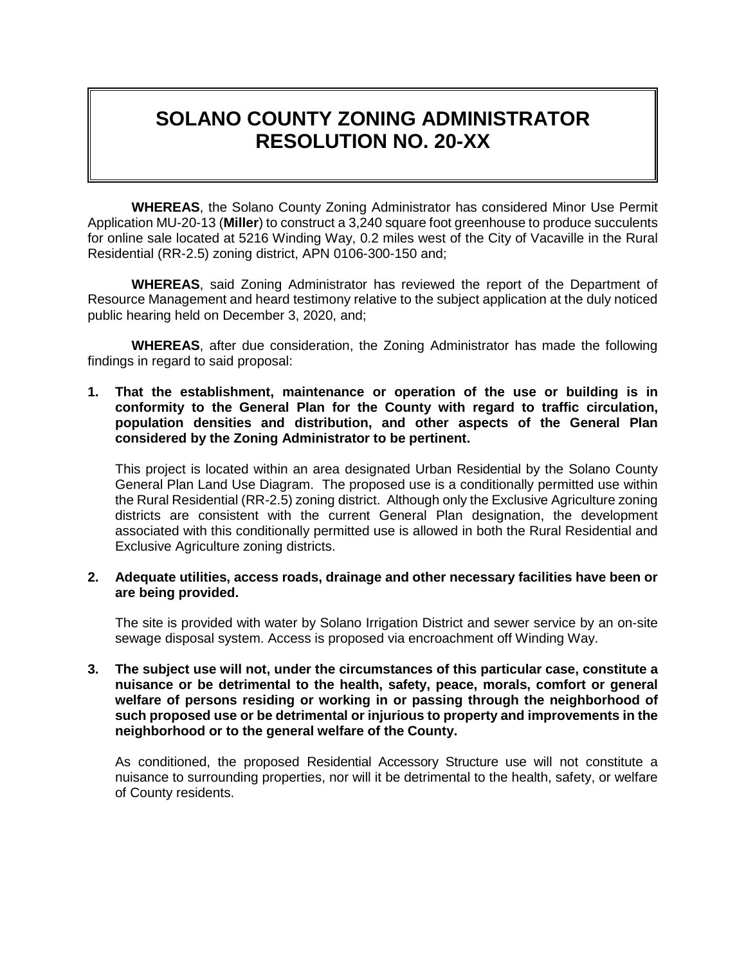# **SOLANO COUNTY ZONING ADMINISTRATOR RESOLUTION NO. 20-XX**

**WHEREAS**, the Solano County Zoning Administrator has considered Minor Use Permit Application MU-20-13 (**Miller**) to construct a 3,240 square foot greenhouse to produce succulents for online sale located at 5216 Winding Way, 0.2 miles west of the City of Vacaville in the Rural Residential (RR-2.5) zoning district, APN 0106-300-150 and;

**WHEREAS**, said Zoning Administrator has reviewed the report of the Department of Resource Management and heard testimony relative to the subject application at the duly noticed public hearing held on December 3, 2020, and;

**WHEREAS**, after due consideration, the Zoning Administrator has made the following findings in regard to said proposal:

**1. That the establishment, maintenance or operation of the use or building is in conformity to the General Plan for the County with regard to traffic circulation, population densities and distribution, and other aspects of the General Plan considered by the Zoning Administrator to be pertinent.**

This project is located within an area designated Urban Residential by the Solano County General Plan Land Use Diagram. The proposed use is a conditionally permitted use within the Rural Residential (RR-2.5) zoning district. Although only the Exclusive Agriculture zoning districts are consistent with the current General Plan designation, the development associated with this conditionally permitted use is allowed in both the Rural Residential and Exclusive Agriculture zoning districts.

**2. Adequate utilities, access roads, drainage and other necessary facilities have been or are being provided.**

The site is provided with water by Solano Irrigation District and sewer service by an on-site sewage disposal system. Access is proposed via encroachment off Winding Way.

**3. The subject use will not, under the circumstances of this particular case, constitute a nuisance or be detrimental to the health, safety, peace, morals, comfort or general welfare of persons residing or working in or passing through the neighborhood of such proposed use or be detrimental or injurious to property and improvements in the neighborhood or to the general welfare of the County.**

As conditioned, the proposed Residential Accessory Structure use will not constitute a nuisance to surrounding properties, nor will it be detrimental to the health, safety, or welfare of County residents.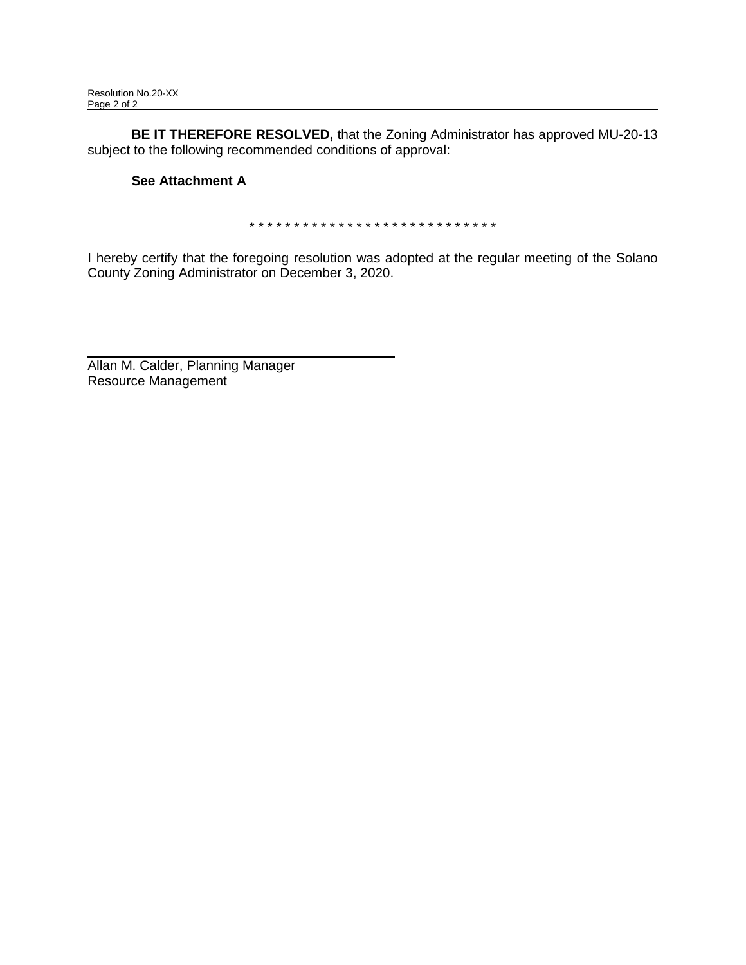**BE IT THEREFORE RESOLVED,** that the Zoning Administrator has approved MU-20-13 subject to the following recommended conditions of approval:

# **See Attachment A**

\* \* \* \* \* \* \* \* \* \* \* \* \* \* \* \* \* \* \* \* \* \* \* \* \* \* \* \*

I hereby certify that the foregoing resolution was adopted at the regular meeting of the Solano County Zoning Administrator on December 3, 2020.

Allan M. Calder, Planning Manager Resource Management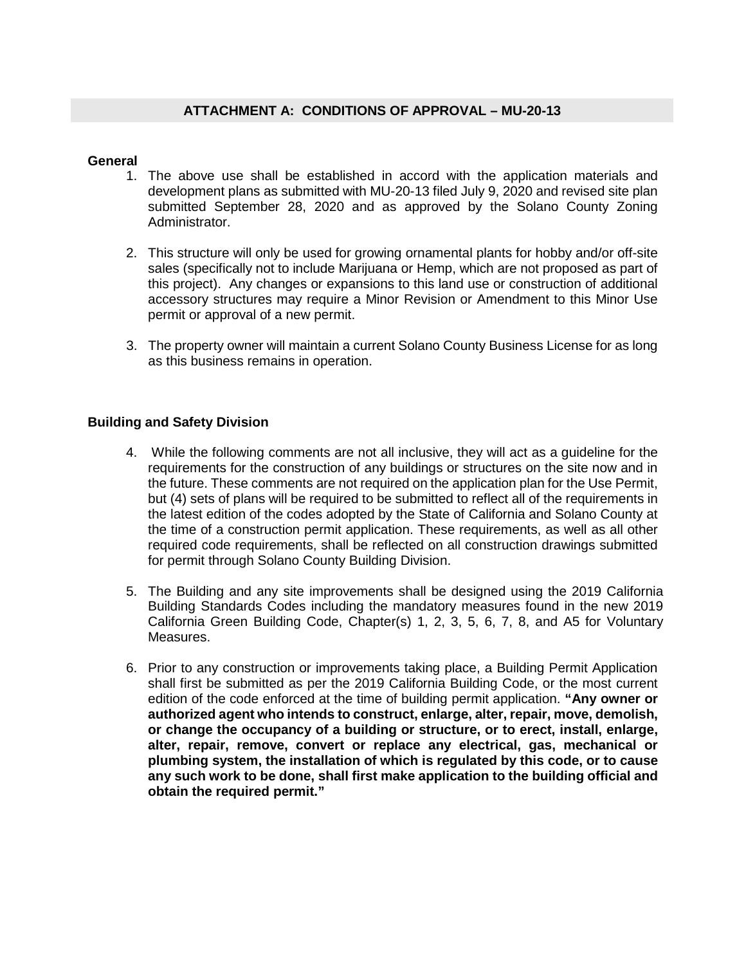## **General**

- 1. The above use shall be established in accord with the application materials and development plans as submitted with MU-20-13 filed July 9, 2020 and revised site plan submitted September 28, 2020 and as approved by the Solano County Zoning Administrator.
- 2. This structure will only be used for growing ornamental plants for hobby and/or off-site sales (specifically not to include Marijuana or Hemp, which are not proposed as part of this project). Any changes or expansions to this land use or construction of additional accessory structures may require a Minor Revision or Amendment to this Minor Use permit or approval of a new permit.
- 3. The property owner will maintain a current Solano County Business License for as long as this business remains in operation.

# **Building and Safety Division**

- 4. While the following comments are not all inclusive, they will act as a guideline for the requirements for the construction of any buildings or structures on the site now and in the future. These comments are not required on the application plan for the Use Permit, but (4) sets of plans will be required to be submitted to reflect all of the requirements in the latest edition of the codes adopted by the State of California and Solano County at the time of a construction permit application. These requirements, as well as all other required code requirements, shall be reflected on all construction drawings submitted for permit through Solano County Building Division.
- 5. The Building and any site improvements shall be designed using the 2019 California Building Standards Codes including the mandatory measures found in the new 2019 California Green Building Code, Chapter(s) 1, 2, 3, 5, 6, 7, 8, and A5 for Voluntary Measures.
- 6. Prior to any construction or improvements taking place, a Building Permit Application shall first be submitted as per the 2019 California Building Code, or the most current edition of the code enforced at the time of building permit application. **"Any owner or authorized agent who intends to construct, enlarge, alter, repair, move, demolish, or change the occupancy of a building or structure, or to erect, install, enlarge, alter, repair, remove, convert or replace any electrical, gas, mechanical or plumbing system, the installation of which is regulated by this code, or to cause any such work to be done, shall first make application to the building official and obtain the required permit."**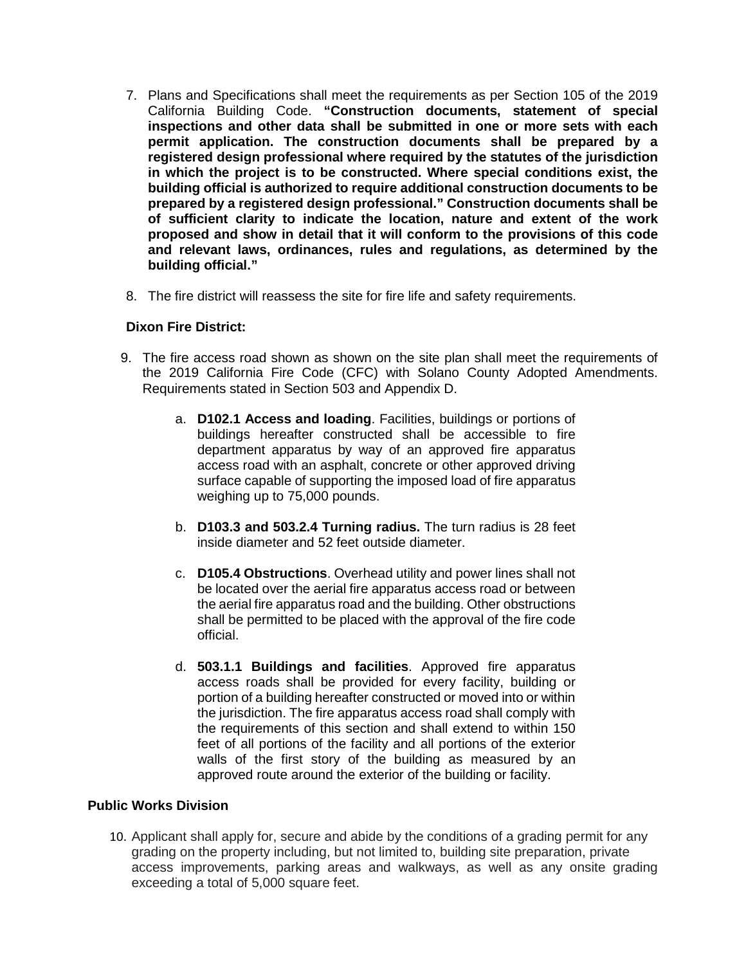- 7. Plans and Specifications shall meet the requirements as per Section 105 of the 2019 California Building Code. **"Construction documents, statement of special inspections and other data shall be submitted in one or more sets with each permit application. The construction documents shall be prepared by a registered design professional where required by the statutes of the jurisdiction in which the project is to be constructed. Where special conditions exist, the building official is authorized to require additional construction documents to be prepared by a registered design professional." Construction documents shall be of sufficient clarity to indicate the location, nature and extent of the work proposed and show in detail that it will conform to the provisions of this code and relevant laws, ordinances, rules and regulations, as determined by the building official."**
- 8. The fire district will reassess the site for fire life and safety requirements.

## **Dixon Fire District:**

- 9. The fire access road shown as shown on the site plan shall meet the requirements of the 2019 California Fire Code (CFC) with Solano County Adopted Amendments. Requirements stated in Section 503 and Appendix D.
	- a. **D102.1 Access and loading**. Facilities, buildings or portions of buildings hereafter constructed shall be accessible to fire department apparatus by way of an approved fire apparatus access road with an asphalt, concrete or other approved driving surface capable of supporting the imposed load of fire apparatus weighing up to 75,000 pounds.
	- b. **D103.3 and 503.2.4 Turning radius.** The turn radius is 28 feet inside diameter and 52 feet outside diameter.
	- c. **D105.4 Obstructions**. Overhead utility and power lines shall not be located over the aerial fire apparatus access road or between the aerial fire apparatus road and the building. Other obstructions shall be permitted to be placed with the approval of the fire code official.
	- d. **503.1.1 Buildings and facilities**. Approved fire apparatus access roads shall be provided for every facility, building or portion of a building hereafter constructed or moved into or within the jurisdiction. The fire apparatus access road shall comply with the requirements of this section and shall extend to within 150 feet of all portions of the facility and all portions of the exterior walls of the first story of the building as measured by an approved route around the exterior of the building or facility.

## **Public Works Division**

10. Applicant shall apply for, secure and abide by the conditions of a grading permit for any grading on the property including, but not limited to, building site preparation, private access improvements, parking areas and walkways, as well as any onsite grading exceeding a total of 5,000 square feet.